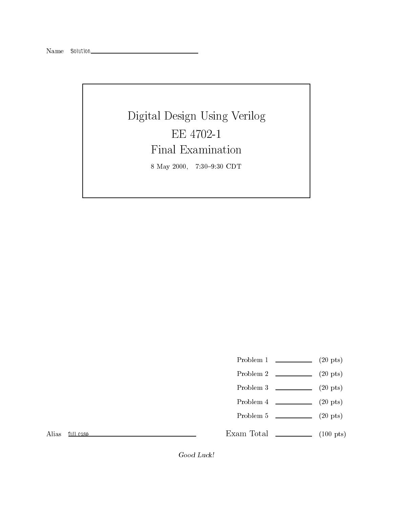## $\Box$  Digital Design Using Verilog Verification  $\Box$ 8 May 2000, 7:30-9:30 CDT

- Problem 1 (20 pts)
- Problem 2 (20 pts)
- Problem 3 (20 pts)
- 
- Problem  $4 \t\t(20 \text{ pts})$
- Problem 5 (20 pts)

Exam Total  $\qquad \qquad$  (100 pts)

Alias full case

Good Luck!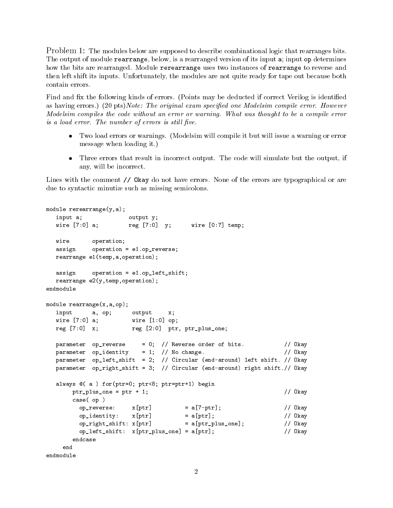Problem 1: The modules below are supposed to describe combinational logic that rearranges bits. The output of module rearrange, below, is a rearranged version of its input a; input op determines how the bits are rearranged. Module rerearrange uses two instances of rearrange to reverse and then left shift its inputs. Unfortunately, the modules are not quite ready for tape out because both contain errors.

Find and fix the following kinds of errors. (Points may be deducted if correct Verilog is identified as having errors.) (20 pts) Note: The original exam specified one Modelsim compile error. However Modelsim compiles the code without an error or warning. What was thought to be a compile error is a load error. The number of errors is still five.

- Two load errors or warnings. (Modelsim will compile it but will issue a warning or error message when loading it.)
- Three errors that result in incorrect output. The code will simulate but the output, if simulate but the output, if  $\mathbb{R}^n$ any, will be incorrect.

Lines with the comment // Okay do not have errors. None of the errors are typographical or are due to syntactic minutiae such as missing semicolons.

```
module rerearrange(y, a);
  input a; butput y;
  wire [7:0] a; <br> reg [7:0] y;  wire [0:7] temp;
           operation;
  wire
  assign operation = e1.op_reverse;
  rearrange e1(temp,a,operation);
  assign operation = e1.op_left_shift;
  rearrange e2(y,temp,operation);
endmodule
module rearrange(x,a,op);
  input a, op; output x;
  wire [7:0] a; wire [1:0] op;
  reg [7:0] x; reg [2:0] ptr, ptr_plus\_one;parameter op_reverse = 0; // Reverse order of bits. // Okay
  parameter op_identity = 1; // No change. // Okay
  parameter op_left_shift = 2; // Circular (end-around) left shift. // Okay
  parameter op_right_shift = 3; // Circular (end-around) right shift.// Okay
  always @( a ) for(ptr=0; ptr<8; ptr=ptr+1) begin
      ptr_plus_one = ptr + 1; \frac{1}{2} // 0kay
      case( op )
        op\_reverse: x[ptr] = a[7-ptr]; // Okay
        op_identity: x[ptr] = a[ptr]; // Okay
        op_right_shift: x[ptr] = a[ptr_plus_one]; // Okay
        op_{\text{left\_shift}}: x[ptr_{\text{plus\_one}}] = a[ptr]; // Okay
      endcase
    end
endmodule
```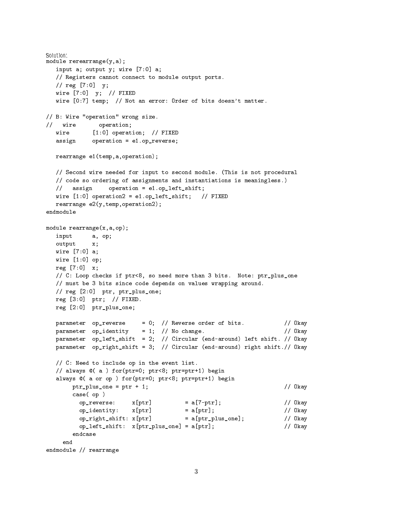```
module rerearrange(y,a);
  input a; output y; wire [7:0] a;
  // Registers cannot connect to module output ports.
  // reg [7:0] y;
  wire [7:0] y; // FIXED
  wire [0:7] temp; // Not an error: Order of bits doesn't matter.
// B: Wire "operation" wrong size.
// wire operation;
  wire
            [1:0] operation; // FIXED
  assign operation = e1.op_reverse;
  rearrange e1(temp,a,operation);
  // Second wire needed for input to second module. (This is not procedural
  // code so ordering of assignments and instantiations is meaningless.)
  // assign operation = e1.op left shift;
  wire [1:0] operation2 = e1.op_left_shift; // FIXED
  rearrange e2(y,temp,operation2);
module rearrange(x,a,op);
  input a, op;
  output x;
  wire [7:0] a;
  wire [1:0] op;
  reg [7:0] x;
  // C: Loop checks if ptr<8, so need more than 3 bits. Note: ptr_plus_one
  // must be 3 bits since code depends on values wrapping around.
  // reg [2:0] ptr, ptr_plus_one;
  reg [3:0] ptr; // FIXED.
  reg [2:0] ptr_plus_one;
  parameter op_reverse = 0; // Reverse order of bits. // Okay
  parameter op_identity = 1; // No change. \frac{1}{2} // Okay
  parameter op_left_shift = 2; // Circular (end-around) left shift. // Okay
  parameter op_right_shift = 3; // Circular (end-around) right shift.// Okay
  // C: Need to include op in the event list.
  // always @( a ) for(ptr=0; ptr<8; ptr=ptr+1) begin
  always @( a or op ) for(ptr=0; ptr<8; ptr=ptr+1) begin
       ptr_plus_one = ptr + 1; \frac{1}{2} // Okay
       case( op )
         op_reverse: x[ptr] = a[7-ptr]; // Okay
         op_identity: x[ptr] = a[ptr]; // Okay
         op\_right\_shift: x[ptr] = a[ptr\_plus\_one]; // Okay
         op_left_shift: x[ptr_plus_one] = a[ptr]; // Okay
       endcase
    endendmodule // rearrange
```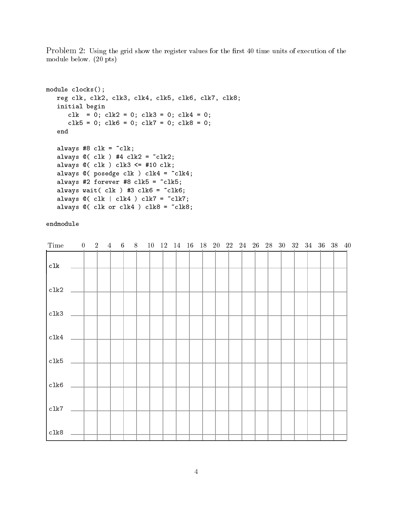Problem 2: Using the grid show the register values for the first 40 time units of execution of the module below. (20 pts)

```
module clocks ();
       reg clk, clk2, clk3, clk4, clk5, clk6, clk7, clk8;
       initial begins the contract of the contract of the contract of the contract of the contract of the contract of
               class extensive extensive extensive extensive extensive extensive extensive extensive extensive extensive extensive
               clifts the class of class the class of the original contract of the contract of the contract of the contract of
       endalways #8 clk = ~clk;
       always @( clk ) #4 clk2 = ~clk2;
       always @( clk ) clk3 <= #10 clk;
       always \alpha , posessed claims ) claims are constructed in the \alphaalways \alpha = 2 for \alpha = 3; \alpha = 3 for \alpha = 3; \alpha = 3; \alpha = 3; \alpha = 3; \alpha = 3; \alpha = 3; \alpha = 3; \alpha = 3; \alpha = 3; \alpha = 3; \alpha = 3; \alpha = 3; \alpha = 3; \alpha = 3; \alpha = 3; \alpha = 3; \alpha = 3; \alpha = 3; \alpha = 3; \alpha = 3; always watched a state of the state of the state of the clients of the clients of the clients of the clients of
       always \alpha , \alpha , \alpha , \alpha , \alpha , \alpha , \alpha , \alpha , \alpha , \alpha , \alpha , \alpha , \alpha , \alpha , \alpha , \alpha , \alpha , \alpha , \alpha , \alpha , \alpha , \alpha , \alpha , \alpha , \alpha , \alpha , \alpha , \alpha , \alpha , \alpha , \alphaalways and clk or claim in the claim of claim in the claim of the claim of the claim of the claim of the claim
```
## endmodule

| Time | $\overline{0}$ | $\overline{2}$ | $\overline{4}$ | 6 <sup>1</sup> | 8 |  |  | 10 12 14 16 18 20 22 24 26 28 30 32 34 36 38 40 |  |  |  |  |  |
|------|----------------|----------------|----------------|----------------|---|--|--|-------------------------------------------------|--|--|--|--|--|
| c1k  |                |                |                |                |   |  |  |                                                 |  |  |  |  |  |
| clk2 |                |                |                |                |   |  |  |                                                 |  |  |  |  |  |
| clk3 |                |                |                |                |   |  |  |                                                 |  |  |  |  |  |
| clk4 |                |                |                |                |   |  |  |                                                 |  |  |  |  |  |
| clk5 |                |                |                |                |   |  |  |                                                 |  |  |  |  |  |
| clk6 |                |                |                |                |   |  |  |                                                 |  |  |  |  |  |
| clk7 |                |                |                |                |   |  |  |                                                 |  |  |  |  |  |
| clk8 |                |                |                |                |   |  |  |                                                 |  |  |  |  |  |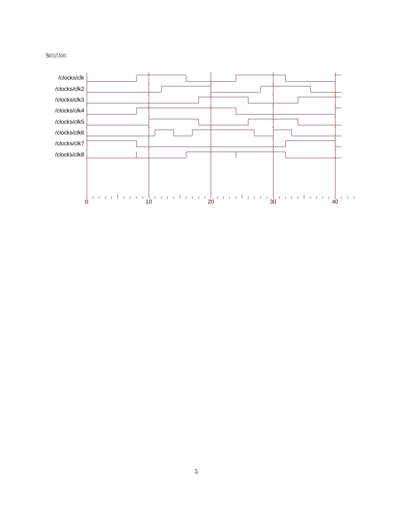

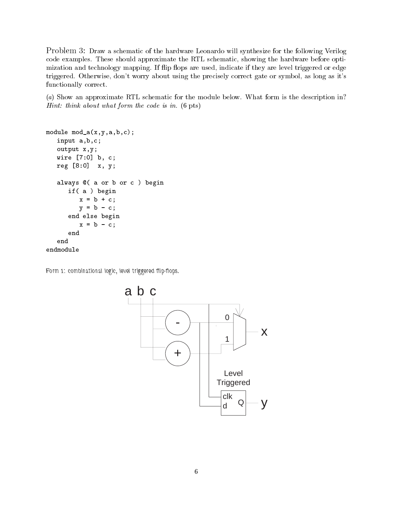Problem 3: Draw a schematic of the hardware Leonardo will synthesize for the following Verilog code examples. These should approximate the RTL schematic, showing the hardware before optimization and technology mapping. If flip flops are used, indicate if they are level triggered or edge triggered. Otherwise, don't worry about using the precisely correct gate or symbol, as long as it's functionally correct.

(a) Show an approximate RTL schematic for the module below. What form is the description in? Hint: think about what form the code is in. (6 pts)

```
module module \alpha , and \alpha and \alpha and \alphainput a,b,c;
     output x,y;
     wire [7:0] b, c;
     reg [8:0] x, y;
     always of a or or or c ) begins
          if( a ) begin
               \sim b \sim c; and c; and c; and c; and c; and c; and c; and c; and c; and c; and c; and c; and c; and c; and c; and c; and c; and c; and c; and c; and c; and c; and c; and c; and c; and c; and c; and c; and c; and c; and
               y = b - c;
          end else begin
               x = b - c;
         endendendmodule
```
Form 1: combinational logic, level triggered flip-flops.

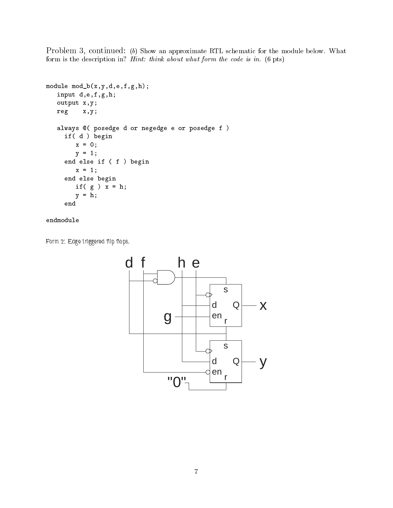Problem 3, continued: (b) Show an approximate RTL schematic for the module below. What form is the description in? Hint: think about what form the code is in. (6 pts)

```
module mod_b(x,y,d,e,f,g,h);
         in put denotes the property of \alpha , \alpha , \alpha , \alphaoutput x,y;
        reg x,y;
         always and posed experimental experiment or posed experiment or posed or posed or posed or posed or posed or p
                \blacksquare if \blacksquare d \blacksquare begins to \blacksquarex = 0;
                         \blacksquareend else if ( f ) begin
                         x = 1; the 1; the 1; the 1; the 1; the 1; the 1; the 1; the 1; the 1; the 1; the 1; the 1; the 1; the 1; the 1; the 1; the 1; the 1; the 1; the 1; the 1; the 1; the 1; the 1; the 1; the 1; the 1; the 1; the 1; the 1; the
                end else begin
                         \blacksquare if and \blacksquare if \blacksquare if \blacksquare if \blacksquare if \blacksquare if \blacksquare if \blacksquare if \blacksquare if \blacksquare if \blacksquare if \blacksquare if \blacksquare if \blacksquare if \blacksquare if \blacksquare if \blacksquare if \blacksquare if \blacksquare if \blacksquare if \blacksquare if \blacksquare 
                         y = h;
               end
```
## endmodule

Form 2: Edge triggered flip flops.

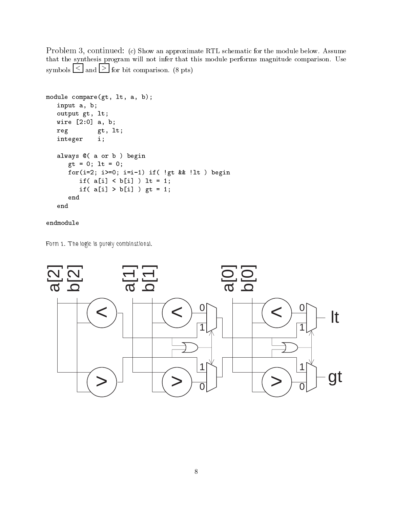Problem 3, continued: (c) Show an approximate RTL schematic for the module below. Assume that the synthesis program will not infer that this module performs magnitude comparison. Use symbols  $\leq$  and  $\geq$  for bit comparison. (8 pts)

```
module compare(gt, lt, a, b);
         input a, b;
         output gr, let, let
         \sim 2008 \sim 2008 \sim 2008 \sim 2008 \sim 2008 \sim 2008 \sim 2008 \sim 2008 \simreg gt, lt;
        integer i;
         always and begin a contract of the property of the second contract of the property of the second contract of the second contract of the second contract of the second contract of the second contract of the second contract o
                   \blacksquare = 0; lt = 0; lt = 0; lt = 0; lt = 0; lt = 0; lt = 0; lt = 0; lt = 0; lt = 0; lt = 0; lt = 0; lt = 0; lt = 0; lt = 0; lt = 0; lt = 0; lt = 0; lt = 0; lt = 0; lt = 0; lt = 0; lt = 0; lt = 0; lt = 0; lt = 0; lt = 0; l
                   for(i=2; i>=0; i=i-1) if( !gt && !lt ) begin
                             if if the state of the state of the state \mathbf{r} is the state of the state of the state of the state of the state of the state of the state of the state of the state of the state of the state of the state of the state o
                             if if the state \mathbf{r} is a state of the state \mathbf{r} is a state of the state \mathbf{r}endend
```
## endmodule

Form 1. The logic is purely combinational.

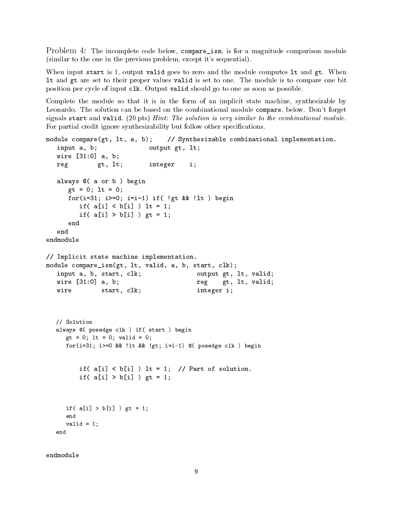Problem 4: The incomplete code below, compare\_ism, is for a magnitude comparison module (similar to the one in the previous problem, except it's sequential).

When input start is 1, output valid goes to zero and the module computes 1t and gt. When lt and gt are set to their proper values valid is set to one. The module is to compare one bit position per cycle of input clk. Output valid should go to one as soon as possible.

Complete the module so that it is in the form of an implicit state machine, synthesizable by Leonardo. The solution can be based on the combinational module compare, below. Don't forget signals start and valid. (20 pts) Hint: The solution is very similar to the combinational module. For partial credit ignore synthesizability but follow other specifications.

```
module compare(gt, lt, a, b);
                                       // Synthesizable combinational implementation.
                                 output gt, lt;
   input a, b;
   wire [31:0] a, b;
   reg gt, lt; integer i;
   always \alpha , and \alpha is a or \alpha - \alphagt = 0; lt = 0;
       for(i=31; i>=0; i=i-1) if( !gt && !lt ) begin
           if if a set of the set of the set of the set of the set of the set of the set of the set of the set of the set of the set of the set of the set of the set of the set of the set of the set of the set of the set of the set 
           if( a[i] > b[i] ) gt = 1;
       endendendmodule// Implicit state machine implementation.
module compare_ism(gt, lt, valid, a, b, start, clk);
   input a, b, start, clk;
                                                output gt, lt, valid;
   wire [31:0] a, b;
                                                reg gt, lt, valid;
                 start, clk; integer i;
   wire// Solution
   always @( posedge clk ) if( start ) begin
      gt = 0; lt = 0; valid = 0;
      for(i=31; i>=0 && !lt && !gt; i=i-1) @( posedge clk ) begin
           if( a[i] < b[i] ) lt = 1; // Part of solution.
           if( a[i] > b[i] ) gt = 1;
      if( a[i] > b[i] ) gt = 1;
      end
      valid = 1;
   end
```
endmodule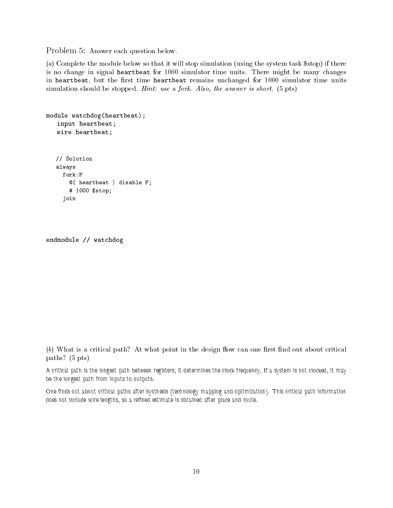Problem 5: Answer each question below.

(a) Complete the module below so that it will stop simulation (using the system task \$stop) if there is no change in signal heartbeat for 1000 simulator time units. There might be many changes in heartbeat, but the first time heartbeat remains unchanged for 1000 simulator time units simulation should be stopped. Hint: use a fork. Also, the answer is short. (5 pts)

```
module watchdog(heartbeat);
       in put heartbeat; and in the second contract of the second contract of the second contract of the second contract of the second contract of the second contract of the second contract of the second contract of the second co
       m = 1 . The set of m = 1// Solution
      always
         fork: F@( heartbeat ) disable F;
              # 1000 $stop;
          join
```

```
endmodule // watchdog
```
 $(b)$  What is a critical path? At what point in the design flow can one first find out about critical paths? (5 pts)

A critical path is the longest path between registers; it determines the clock frequency. If a system is not clocked, it may be the longest path from inputs to outputs.

One nds out about critical paths after synthesis (technology mapping and optimization). This critical path information does not include wire lengths, so a rened estimate is obtained after place and route.